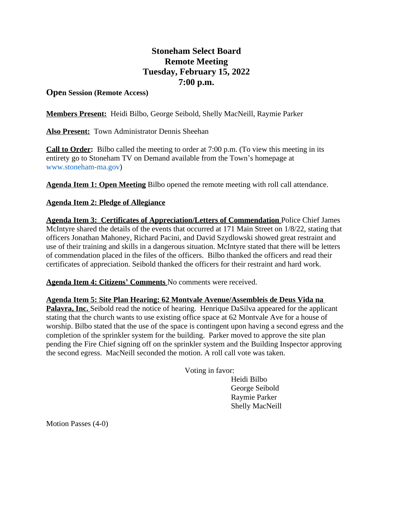## **Stoneham Select Board Remote Meeting Tuesday, February 15, 2022 7:00 p.m.**

## **Open Session (Remote Access)**

**Members Present:** Heidi Bilbo, George Seibold, Shelly MacNeill, Raymie Parker

**Also Present:** Town Administrator Dennis Sheehan

**Call to Order:** Bilbo called the meeting to order at 7:00 p.m. (To view this meeting in its entirety go to Stoneham TV on Demand available from the Town's homepage at [www.stoneham-ma.gov\)](http://www.stoneham-ma.gov)

**Agenda Item 1: Open Meeting** Bilbo opened the remote meeting with roll call attendance.

## **Agenda Item 2: Pledge of Allegiance**

**Agenda Item 3: Certificates of Appreciation/Letters of Commendation** Police Chief James McIntyre shared the details of the events that occurred at 171 Main Street on 1/8/22, stating that officers Jonathan Mahoney, Richard Pacini, and David Szydlowski showed great restraint and use of their training and skills in a dangerous situation. McIntyre stated that there will be letters of commendation placed in the files of the officers. Bilbo thanked the officers and read their certificates of appreciation. Seibold thanked the officers for their restraint and hard work.

**Agenda Item 4: Citizens' Comments** No comments were received.

**Agenda Item 5: Site Plan Hearing: 62 Montvale Avenue/Assembleis de Deus Vida na Palavra, Inc.** Seibold read the notice of hearing. Henrique DaSilva appeared for the applicant stating that the church wants to use existing office space at 62 Montvale Ave for a house of worship. Bilbo stated that the use of the space is contingent upon having a second egress and the completion of the sprinkler system for the building. Parker moved to approve the site plan pending the Fire Chief signing off on the sprinkler system and the Building Inspector approving the second egress. MacNeill seconded the motion. A roll call vote was taken.

Voting in favor:

Heidi Bilbo George Seibold Raymie Parker Shelly MacNeill

Motion Passes (4-0)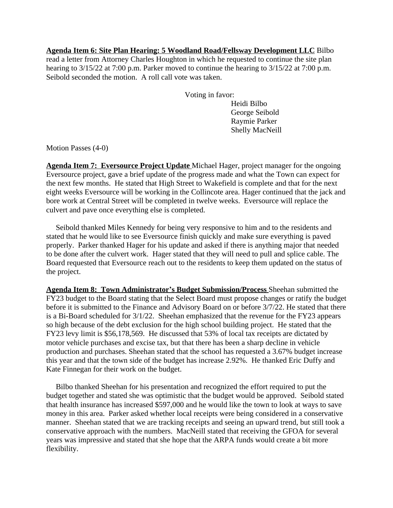**Agenda Item 6: Site Plan Hearing: 5 Woodland Road/Fellsway Development LLC** Bilbo read a letter from Attorney Charles Houghton in which he requested to continue the site plan hearing to 3/15/22 at 7:00 p.m. Parker moved to continue the hearing to 3/15/22 at 7:00 p.m. Seibold seconded the motion. A roll call vote was taken.

Voting in favor:

Heidi Bilbo George Seibold Raymie Parker Shelly MacNeill

Motion Passes (4-0)

**Agenda Item 7: Eversource Project Update** Michael Hager, project manager for the ongoing Eversource project, gave a brief update of the progress made and what the Town can expect for the next few months. He stated that High Street to Wakefield is complete and that for the next eight weeks Eversource will be working in the Collincote area. Hager continued that the jack and bore work at Central Street will be completed in twelve weeks. Eversource will replace the culvert and pave once everything else is completed.

 Seibold thanked Miles Kennedy for being very responsive to him and to the residents and stated that he would like to see Eversource finish quickly and make sure everything is paved properly. Parker thanked Hager for his update and asked if there is anything major that needed to be done after the culvert work. Hager stated that they will need to pull and splice cable. The Board requested that Eversource reach out to the residents to keep them updated on the status of the project.

**Agenda Item 8: Town Administrator's Budget Submission/Process** Sheehan submitted the FY23 budget to the Board stating that the Select Board must propose changes or ratify the budget before it is submitted to the Finance and Advisory Board on or before 3/7/22. He stated that there is a Bi-Board scheduled for 3/1/22. Sheehan emphasized that the revenue for the FY23 appears so high because of the debt exclusion for the high school building project. He stated that the FY23 levy limit is \$56,178,569. He discussed that 53% of local tax receipts are dictated by motor vehicle purchases and excise tax, but that there has been a sharp decline in vehicle production and purchases. Sheehan stated that the school has requested a 3.67% budget increase this year and that the town side of the budget has increase 2.92%. He thanked Eric Duffy and Kate Finnegan for their work on the budget.

 Bilbo thanked Sheehan for his presentation and recognized the effort required to put the budget together and stated she was optimistic that the budget would be approved. Seibold stated that health insurance has increased \$597,000 and he would like the town to look at ways to save money in this area. Parker asked whether local receipts were being considered in a conservative manner. Sheehan stated that we are tracking receipts and seeing an upward trend, but still took a conservative approach with the numbers. MacNeill stated that receiving the GFOA for several years was impressive and stated that she hope that the ARPA funds would create a bit more flexibility.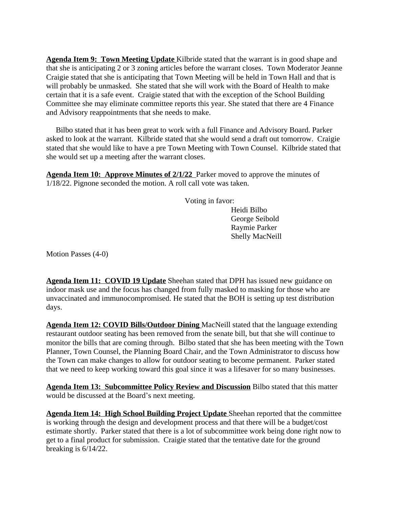**Agenda Item 9: Town Meeting Update** Kilbride stated that the warrant is in good shape and that she is anticipating 2 or 3 zoning articles before the warrant closes. Town Moderator Jeanne Craigie stated that she is anticipating that Town Meeting will be held in Town Hall and that is will probably be unmasked. She stated that she will work with the Board of Health to make certain that it is a safe event. Craigie stated that with the exception of the School Building Committee she may eliminate committee reports this year. She stated that there are 4 Finance and Advisory reappointments that she needs to make.

 Bilbo stated that it has been great to work with a full Finance and Advisory Board. Parker asked to look at the warrant. Kilbride stated that she would send a draft out tomorrow. Craigie stated that she would like to have a pre Town Meeting with Town Counsel. Kilbride stated that she would set up a meeting after the warrant closes.

**Agenda Item 10: Approve Minutes of 2/1/22** Parker moved to approve the minutes of 1/18/22. Pignone seconded the motion. A roll call vote was taken.

Voting in favor:

Heidi Bilbo George Seibold Raymie Parker Shelly MacNeill

Motion Passes (4-0)

**Agenda Item 11: COVID 19 Update** Sheehan stated that DPH has issued new guidance on indoor mask use and the focus has changed from fully masked to masking for those who are unvaccinated and immunocompromised. He stated that the BOH is setting up test distribution days.

**Agenda Item 12: COVID Bills/Outdoor Dining** MacNeill stated that the language extending restaurant outdoor seating has been removed from the senate bill, but that she will continue to monitor the bills that are coming through. Bilbo stated that she has been meeting with the Town Planner, Town Counsel, the Planning Board Chair, and the Town Administrator to discuss how the Town can make changes to allow for outdoor seating to become permanent. Parker stated that we need to keep working toward this goal since it was a lifesaver for so many businesses.

**Agenda Item 13: Subcommittee Policy Review and Discussion** Bilbo stated that this matter would be discussed at the Board's next meeting.

**Agenda Item 14: High School Building Project Update** Sheehan reported that the committee is working through the design and development process and that there will be a budget/cost estimate shortly. Parker stated that there is a lot of subcommittee work being done right now to get to a final product for submission. Craigie stated that the tentative date for the ground breaking is  $6/14/22$ .